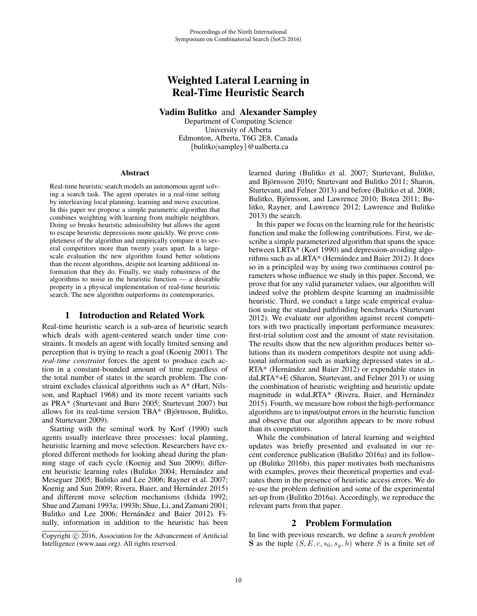# Weighted Lateral Learning in Real-Time Heuristic Search

Vadim Bulitko and Alexander Sampley

Department of Computing Science University of Alberta Edmonton, Alberta, T6G 2E8, Canada {bulitko|sampley}@ualberta.ca

#### Abstract

Real-time heuristic search models an autonomous agent solving a search task. The agent operates in a real-time setting by interleaving local planning, learning and move execution. In this paper we propose a simple parametric algorithm that combines weighting with learning from multiple neighbors. Doing so breaks heuristic admissibility but allows the agent to escape heuristic depressions more quickly. We prove completeness of the algorithm and empirically compare it to several competitors more than twenty years apart. In a largescale evaluation the new algorithm found better solutions than the recent algorithms, despite not learning additional information that they do. Finally, we study robustness of the algorithms to noise in the heuristic function — a desirable property in a physical implementation of real-time heuristic search. The new algorithm outperforms its contemporaries.

### 1 Introduction and Related Work

Real-time heuristic search is a sub-area of heuristic search which deals with agent-centered search under time constraints. It models an agent with locally limited sensing and perception that is trying to reach a goal (Koenig 2001). The *real-time constraint* forces the agent to produce each action in a constant-bounded amount of time regardless of the total number of states in the search problem. The constraint excludes classical algorithms such as A\* (Hart, Nilsson, and Raphael 1968) and its more recent variants such as PRA\* (Sturtevant and Buro 2005; Sturtevant 2007) but allows for its real-time version TBA\* (Björnsson, Bulitko, and Sturtevant 2009).

Starting with the seminal work by Korf (1990) such agents usually interleave three processes: local planning, heuristic learning and move selection. Researchers have explored different methods for looking ahead during the planning stage of each cycle (Koenig and Sun 2009); different heuristic learning rules (Bulitko 2004; Hernández and Meseguer 2005; Bulitko and Lee 2006; Rayner et al. 2007; Koenig and Sun 2009; Rivera, Baier, and Hernández 2015) and different move selection mechanisms (Ishida 1992; Shue and Zamani 1993a; 1993b; Shue, Li, and Zamani 2001; Bulitko and Lee 2006; Hernández and Baier 2012). Finally, information in addition to the heuristic has been learned during (Bulitko et al. 2007; Sturtevant, Bulitko, and Björnsson 2010; Sturtevant and Bulitko 2011; Sharon, Sturtevant, and Felner 2013) and before (Bulitko et al. 2008; Bulitko, Björnsson, and Lawrence 2010; Botea 2011; Bulitko, Rayner, and Lawrence 2012; Lawrence and Bulitko 2013) the search.

In this paper we focus on the learning rule for the heuristic function and make the following contributions. First, we describe a simple parameterized algorithm that spans the space between LRTA\* (Korf 1990) and depression-avoiding algorithms such as aLRTA\* (Hernández and Baier 2012). It does so in a principled way by using two continuous control parameters whose influence we study in this paper. Second, we prove that for any valid parameter values, our algorithm will indeed solve the problem despite learning an inadmissible heuristic. Third, we conduct a large scale empirical evaluation using the standard pathfinding benchmarks (Sturtevant 2012). We evaluate our algorithm against recent competitors with two practically important performance measures: first-trial solution cost and the amount of state revisitation. The results show that the new algorithm produces better solutions than its modern competitors despite not using additional information such as marking depressed states in aL- $RTA*$  (Hernández and Baier 2012) or expendable states in daLRTA\*+E (Sharon, Sturtevant, and Felner 2013) or using the combination of heuristic weighting and heuristic update magnitude in wdaLRTA\* (Rivera, Baier, and Hernández 2015). Fourth, we measure how robust the high-performance algorithms are to input/output errors in the heuristic function and observe that our algorithm appears to be more robust than its competitors.

While the combination of lateral learning and weighted updates was briefly presented and evaluated in our recent conference publication (Bulitko 2016a) and its followup (Bulitko 2016b), this paper motivates both mechanisms with examples, proves their theoretical properties and evaluates them in the presence of heuristic access errors. We do re-use the problem definition and some of the experimental set-up from (Bulitko 2016a). Accordingly, we reproduce the relevant parts from that paper.

### 2 Problem Formulation

In line with previous research, we define a *search problem* **S** as the tuple  $(S, E, c, s_0, s_a, h)$  where S is a finite set of

Copyright  $\odot$  2016, Association for the Advancement of Artificial Intelligence (www.aaai.org). All rights reserved.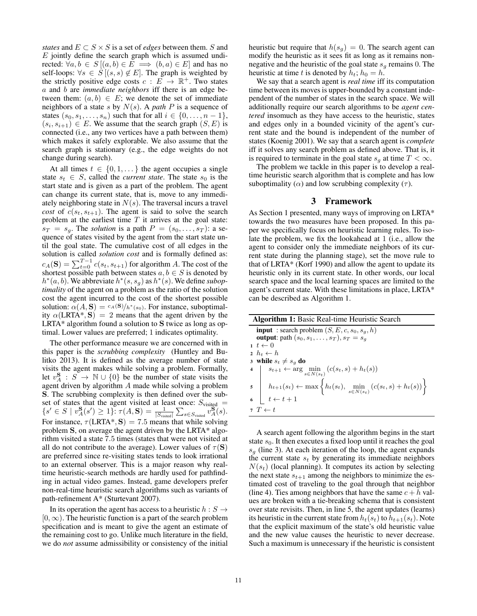*states* and  $E \subset S \times S$  is a set of *edges* between them. S and  $E$  jointly define the search graph which is assumed undirected:  $\forall a, b \in S \ (a, b) \in E \implies (b, a) \in E$  and has no self-loops:  $\forall s \in S$ [(s, s) ∉ E]. The graph is weighted by the strictly positive edge costs  $c : E \to \mathbb{R}^+$ . Two states a and b are *immediate neighbors* iff there is an edge between them:  $(a, b) \in E$ ; we denote the set of immediate neighbors of a state s by N(s). A *path* P is a sequence of states  $(s_0, s_1, \ldots, s_n)$  such that for all  $i \in \{0, \ldots, n-1\}$ ,  $(s_i, s_{i+1}) \in E$ . We assume that the search graph  $(S, E)$  is connected (i.e., any two vertices have a path between them) which makes it safely explorable. We also assume that the search graph is stationary (e.g., the edge weights do not change during search).

At all times  $t \in \{0, 1, \dots\}$  the agent occupies a single state  $s_t \in S$ , called the *current state*. The state  $s_0$  is the start state and is given as a part of the problem. The agent can change its current state, that is, move to any immediately neighboring state in  $N(s)$ . The traversal incurs a travel *cost* of  $c(s_t, s_{t+1})$ . The agent is said to solve the search problem at the earliest time  $T$  it arrives at the goal state:  $s_T = s_q$ . The *solution* is a path  $P = (s_0, \ldots, s_T)$ : a sequence of states visited by the agent from the start state until the goal state. The cumulative cost of all edges in the solution is called *solution cost* and is formally defined as:  $c_A(S) = \sum_{t=0}^{T-1} c(s_t, s_{t+1})$  for algorithm A. The cost of the shortest possible path between states  $a, b \in S$  is denoted by  $h^*(a, b)$ . We abbreviate  $h^*(s, s_g)$  as  $h^*(s)$ . We define *suboptimality* of the agent on a problem as the ratio of the solution cost the agent incurred to the cost of the shortest possible solution:  $\alpha(A, S) = c_A(S)/h^*(s_0)$ . For instance, suboptimality  $\alpha$ (LRTA\*, S) = 2 means that the agent driven by the LRTA\* algorithm found a solution to **S** twice as long as optimal. Lower values are preferred; 1 indicates optimality.

The other performance measure we are concerned with in this paper is the *scrubbing complexity* (Huntley and Bulitko 2013). It is defined as the average number of state visits the agent makes while solving a problem. Formally, let  $v_A^{\mathbf{S}}$  :  $S \to \mathbb{N} \cup \{0\}$  be the number of state visits the agent driven by algorithm A made while solving a problem **S**. The scrubbing complexity is then defined over the subset of states that the agent visited at least once:  $S_{\text{visited}} =$  $\{s' \in S \mid v_A^{\mathbf{S}}(s') \geq 1\}$ :  $\tau(A, \mathbf{S}) = \frac{1}{|S_{\text{visited}}|} \sum_{s \in S_{\text{visited}}} v_A^{\mathbf{S}}(s)$ . For instance,  $\tau$ (LRTA\*, **S**) = 7.5 means that while solving problem **S**, on average the agent driven by the LRTA\* algorithm visited a state 7.5 times (states that were not visited at all do not contribute to the average). Lower values of  $\tau(S)$ are preferred since re-visiting states tends to look irrational to an external observer. This is a major reason why realtime heuristic-search methods are hardly used for pathfinding in actual video games. Instead, game developers prefer non-real-time heuristic search algorithms such as variants of path-refinement A\* (Sturtevant 2007).

In its operation the agent has access to a heuristic  $h : S \rightarrow$  $[0, \infty)$ . The heuristic function is a part of the search problem specification and is meant to give the agent an estimate of the remaining cost to go. Unlike much literature in the field, we do *not* assume admissibility or consistency of the initial

heuristic but require that  $h(s_q)=0$ . The search agent can modify the heuristic as it sees fit as long as it remains nonnegative and the heuristic of the goal state  $s_g$  remains 0. The heuristic at time t is denoted by  $h_t$ ;  $h_0 = h$ .

We say that a search agent is *real time* iff its computation time between its moves is upper-bounded by a constant independent of the number of states in the search space. We will additionally require our search algorithms to be *agent centered* insomuch as they have access to the heuristic, states and edges only in a bounded vicinity of the agent's current state and the bound is independent of the number of states (Koenig 2001). We say that a search agent is *complete* iff it solves any search problem as defined above. That is, it is required to terminate in the goal state  $s_q$  at time  $T < \infty$ .

The problem we tackle in this paper is to develop a realtime heuristic search algorithm that is complete and has low suboptimality ( $\alpha$ ) and low scrubbing complexity ( $\tau$ ).

#### 3 Framework

As Section 1 presented, many ways of improving on LRTA\* towards the two measures have been proposed. In this paper we specifically focus on heuristic learning rules. To isolate the problem, we fix the lookahead at 1 (i.e., allow the agent to consider only the immediate neighbors of its current state during the planning stage), set the move rule to that of LRTA\* (Korf 1990) and allow the agent to update its heuristic only in its current state. In other words, our local search space and the local learning spaces are limited to the agent's current state. With these limitations in place, LRTA\* can be described as Algorithm 1.

| Algorithm 1: Basic Real-time Heuristic Search |                                                                                                                              |  |  |  |
|-----------------------------------------------|------------------------------------------------------------------------------------------------------------------------------|--|--|--|
|                                               | <b>input</b> : search problem $(S, E, c, s_0, s_a, h)$                                                                       |  |  |  |
|                                               | <b>output:</b> path $(s_0, s_1, \ldots, s_T)$ , $s_T = s_q$                                                                  |  |  |  |
|                                               | $1~t\leftarrow 0$                                                                                                            |  |  |  |
|                                               | $2 \th \rightarrow h_t \leftarrow h$                                                                                         |  |  |  |
|                                               | 3 while $s_t \neq s_q$ do                                                                                                    |  |  |  |
|                                               | 4 $s_{t+1} \leftarrow \arg\min_{s \in N(s_t)} (c(s_t, s) + h_t(s))$                                                          |  |  |  |
|                                               | 5 $h_{t+1}(s_t) \leftarrow \max \left\{ h_t(s_t), \min_{s \in N(s_t)} (c(s_t, s) + h_t(s)) \right\}$<br>6 $t \leftarrow t+1$ |  |  |  |
|                                               |                                                                                                                              |  |  |  |
|                                               | $\tau$ $T \leftarrow t$                                                                                                      |  |  |  |

A search agent following the algorithm begins in the start state  $s_0$ . It then executes a fixed loop until it reaches the goal  $s<sub>q</sub>$  (line 3). At each iteration of the loop, the agent expands the current state  $s_t$  by generating its immediate neighbors  $N(s_t)$  (local planning). It computes its action by selecting the next state  $s_{t+1}$  among the neighbors to minimize the estimated cost of traveling to the goal through that neighbor (line 4). Ties among neighbors that have the same  $c + h$  values are broken with a tie-breaking schema that is consistent over state revisits. Then, in line 5, the agent updates (learns) its heuristic in the current state from  $h_t(s_t)$  to  $h_{t+1}(s_t)$ . Note that the explicit maximum of the state's old heuristic value and the new value causes the heuristic to never decrease. Such a maximum is unnecessary if the heuristic is consistent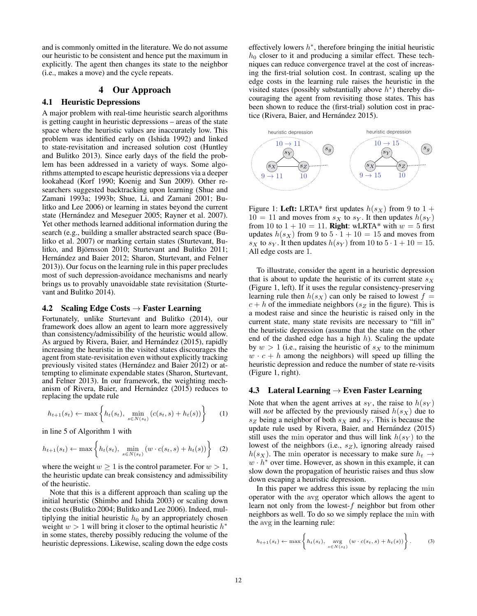and is commonly omitted in the literature. We do not assume our heuristic to be consistent and hence put the maximum in explicitly. The agent then changes its state to the neighbor (i.e., makes a move) and the cycle repeats.

## 4 Our Approach

## 4.1 Heuristic Depressions

A major problem with real-time heuristic search algorithms is getting caught in heuristic depressions – areas of the state space where the heuristic values are inaccurately low. This problem was identified early on (Ishida 1992) and linked to state-revisitation and increased solution cost (Huntley and Bulitko 2013). Since early days of the field the problem has been addressed in a variety of ways. Some algorithms attempted to escape heuristic depressions via a deeper lookahead (Korf 1990; Koenig and Sun 2009). Other researchers suggested backtracking upon learning (Shue and Zamani 1993a; 1993b; Shue, Li, and Zamani 2001; Bulitko and Lee 2006) or learning in states beyond the current state (Hernández and Meseguer 2005; Rayner et al. 2007). Yet other methods learned additional information during the search (e.g., building a smaller abstracted search space (Bulitko et al. 2007) or marking certain states (Sturtevant, Bulitko, and Björnsson 2010; Sturtevant and Bulitko 2011; Hernández and Baier 2012; Sharon, Sturtevant, and Felner 2013)). Our focus on the learning rule in this paper precludes most of such depression-avoidance mechanisms and nearly brings us to provably unavoidable state revisitation (Sturtevant and Bulitko 2014).

#### 4.2 Scaling Edge Costs  $\rightarrow$  Faster Learning

Fortunately, unlike Sturtevant and Bulitko (2014), our framework does allow an agent to learn more aggressively than consistency/admissibility of the heuristic would allow. As argued by Rivera, Baier, and Hernández (2015), rapidly increasing the heuristic in the visited states discourages the agent from state-revisitation even without explicitly tracking previously visited states (Hernández and Baier 2012) or attempting to eliminate expendable states (Sharon, Sturtevant, and Felner 2013). In our framework, the weighting mechanism of Rivera, Baier, and Hernández  $(2015)$  reduces to replacing the update rule

$$
h_{t+1}(s_t) \leftarrow \max\left\{h_t(s_t), \min_{s \in N(s_t)} (c(s_t, s) + h_t(s))\right\}
$$
 (1)

in line 5 of Algorithm 1 with

$$
h_{t+1}(s_t) \leftarrow \max\left\{h_t(s_t), \min_{s \in N(s_t)} \left(w \cdot c(s_t, s) + h_t(s)\right)\right\} \quad (2)
$$

where the weight  $w \ge 1$  is the control parameter. For  $w > 1$ , the heuristic update can break consistency and admissibility of the heuristic.

Note that this is a different approach than scaling up the initial heuristic (Shimbo and Ishida 2003) or scaling down the costs (Bulitko 2004; Bulitko and Lee 2006). Indeed, multiplying the initial heuristic  $h_0$  by an appropriately chosen weight  $w > 1$  will bring it closer to the optimal heuristic  $h^*$ in some states, thereby possibly reducing the volume of the heuristic depressions. Likewise, scaling down the edge costs

effectively lowers  $h^*$ , therefore bringing the initial heuristic  $h_0$  closer to it and producing a similar effect. These techniques can reduce convergence travel at the cost of increasing the first-trial solution cost. In contrast, scaling up the edge costs in the learning rule raises the heuristic in the visited states (possibly substantially above  $h^*$ ) thereby discouraging the agent from revisiting those states. This has been shown to reduce the (first-trial) solution cost in practice (Rivera, Baier, and Hernández 2015).



Figure 1: Left: LRTA\* first updates  $h(s_X)$  from 9 to 1 +  $10 = 11$  and moves from  $s_X$  to  $s_Y$ . It then updates  $h(s_Y)$ from 10 to  $1 + 10 = 11$ . **Right**: wLRTA\* with  $w = 5$  first updates  $h(s_X)$  from 9 to  $5 \cdot 1 + 10 = 15$  and moves from  $s_X$  to  $s_Y$ . It then updates  $h(s_Y)$  from 10 to  $5 \cdot 1 + 10 = 15$ . All edge costs are 1.

To illustrate, consider the agent in a heuristic depression that is about to update the heuristic of its current state  $s_X$ (Figure 1, left). If it uses the regular consistency-preserving learning rule then  $h(s_X)$  can only be raised to lowest  $f =$  $c + h$  of the immediate neighbors ( $s_Z$  in the figure). This is a modest raise and since the heuristic is raised only in the current state, many state revisits are necessary to "fill in" the heuristic depression (assume that the state on the other end of the dashed edge has a high  $h$ ). Scaling the update by  $w > 1$  (i.e., raising the heuristic of  $s<sub>X</sub>$  to the minimum  $w \cdot c + h$  among the neighbors) will speed up filling the heuristic depression and reduce the number of state re-visits (Figure 1, right).

### 4.3 Lateral Learning  $\rightarrow$  Even Faster Learning

Note that when the agent arrives at  $s_Y$ , the raise to  $h(s_Y)$ will *not* be affected by the previously raised  $h(s_X)$  due to  $s_Z$  being a neighbor of both  $s_X$  and  $s_Y$ . This is because the update rule used by Rivera, Baier, and Hernández (2015) still uses the min operator and thus will link  $h(s_Y)$  to the lowest of the neighbors (i.e.,  $s_Z$ ), ignoring already raised  $h(s_X)$ . The min operator is necessary to make sure  $h_t \rightarrow$  $w \cdot h^*$  over time. However, as shown in this example, it can slow down the propagation of heuristic raises and thus slow down escaping a heuristic depression.

In this paper we address this issue by replacing the min operator with the avg operator which allows the agent to learn not only from the lowest-f neighbor but from other neighbors as well. To do so we simply replace the min with the avg in the learning rule:

$$
h_{t+1}(s_t) \leftarrow \max\left\{h_t(s_t), \underset{s \in N(s_t)}{\text{avg}} \left(w \cdot c(s_t, s) + h_t(s)\right)\right\}.
$$
 (3)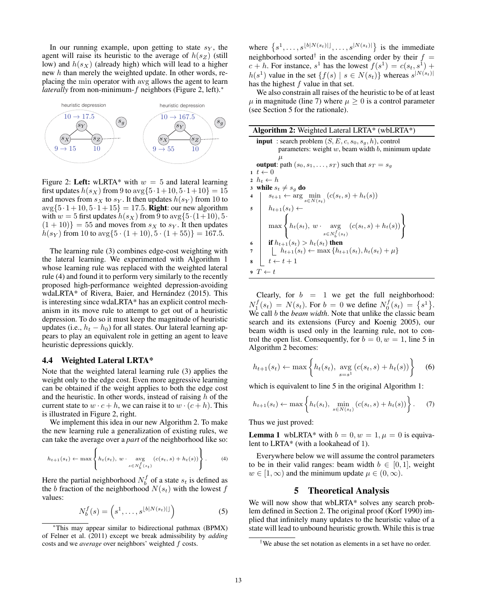In our running example, upon getting to state  $s_Y$ , the agent will raise its heuristic to the average of  $h(s_Z)$  (still low) and  $h(s_X)$  (already high) which will lead to a higher new h than merely the weighted update. In other words, replacing the min operator with avg allows the agent to learn *laterally* from non-minimum-*f* neighbors (Figure 2, left).<sup>∗</sup>



Figure 2: Left: wLRTA\* with  $w = 5$  and lateral learning first updates  $h(s_X)$  from 9 to  $\arg\{5 \cdot 1 + 10, 5 \cdot 1 + 10\} = 15$ and moves from  $s_X$  to  $s_Y$ . It then updates  $h(s_Y)$  from 10 to  $\arg\{5 \cdot 1 + 10, 5 \cdot 1 + 15\} = 17.5$ . **Right**: our new algorithm with  $w = 5$  first updates  $h(s_X)$  from 9 to  $\arg\{5 \cdot (1+10), 5 \cdot$  $(1 + 10)$ } = 55 and moves from  $s_X$  to  $s_Y$ . It then updates  $h(s_Y)$  from 10 to  $\arg\{5 \cdot (1 + 10), 5 \cdot (1 + 55)\} = 167.5$ .

The learning rule (3) combines edge-cost weighting with the lateral learning. We experimented with Algorithm 1 whose learning rule was replaced with the weighted lateral rule (4) and found it to perform very similarly to the recently proposed high-performance weighted depression-avoiding wdaLRTA\* of Rivera, Baier, and Hernández (2015). This is interesting since wdaLRTA\* has an explicit control mechanism in its move rule to attempt to get out of a heuristic depression. To do so it must keep the magnitude of heuristic updates (i.e.,  $h_t - h_0$ ) for all states. Our lateral learning appears to play an equivalent role in getting an agent to leave heuristic depressions quickly.

#### 4.4 Weighted Lateral LRTA\*

Note that the weighted lateral learning rule (3) applies the weight only to the edge cost. Even more aggressive learning can be obtained if the weight applies to both the edge cost and the heuristic. In other words, instead of raising  $h$  of the current state to  $w \cdot c + h$ , we can raise it to  $w \cdot (c + h)$ . This is illustrated in Figure 2, right.

We implement this idea in our new Algorithm 2. To make the new learning rule a generalization of existing rules, we can take the average over a *part* of the neighborhood like so:

$$
h_{t+1}(s_t) \leftarrow \max\left\{h_t(s_t), \ w \cdot \underset{s \in N_b^f(s_t)}{\text{avg}}(c(s_t, s) + h_t(s))\right\}.
$$
 (4)

Here the partial neighborhood  $N_b^J$  of a state  $s_t$  is defined as the *b* fraction of the neighborhood  $N(s_t)$  with the lowest *f* the b fraction of the neighborhood  $N(s_t)$  with the lowest f values:

$$
N_b^f(s) = \left(s^1, \dots, s^{\lfloor b \rfloor N(s_t) \rfloor}\right) \tag{5}
$$

where  $\{s^1, \ldots, s^{\lfloor b |N(s_t)| \rfloor}, \ldots, s^{\lfloor N(s_t) \rfloor} \}$  is the immediate neighborhood sorted<sup>†</sup> in the ascending order by their  $f =$  $c + h$ . For instance,  $s^1$  has the lowest  $f(s^1) = c(s_t, s^1) +$  $h(s^1)$  value in the set  $\{f(s) | s \in N(s_t)\}\$  whereas  $s^{|N(s_t)|}$ has the highest f value in that set.

We also constrain all raises of the heuristic to be of at least  $\mu$  in magnitude (line 7) where  $\mu \geq 0$  is a control parameter (see Section 5 for the rationale).

| <b>Algorithm 2:</b> Weighted Lateral LRTA* (wbLRTA*)                                                                       |  |  |  |  |  |
|----------------------------------------------------------------------------------------------------------------------------|--|--|--|--|--|
| <b>input</b> : search problem $(S, E, c, s_0, s_g, h)$ , control                                                           |  |  |  |  |  |
| parameters: weight $w$ , beam width $b$ , minimum update                                                                   |  |  |  |  |  |
| $\mu$                                                                                                                      |  |  |  |  |  |
| <b>output</b> : path $(s_0, s_1, \ldots, s_T)$ such that $s_T = s_g$                                                       |  |  |  |  |  |
| $1~t \leftarrow 0$                                                                                                         |  |  |  |  |  |
| $2 \th \rightarrow h_t \leftarrow h$                                                                                       |  |  |  |  |  |
| 3 while $s_t \neq s_g$ do                                                                                                  |  |  |  |  |  |
| $s_{t+1} \leftarrow \arg \min_{s \in N(s_t)} (c(s_t, s) + h_t(s))$<br>$h_{t+1}(s_t) \leftarrow$<br>4                       |  |  |  |  |  |
| 5                                                                                                                          |  |  |  |  |  |
| $\left\{\max\left\{h_t(s_t), w \cdot \underset{s \in N_b^f(s_t)}{\operatorname{avg}} (c(s_t, s) + h_t(s))\right\}\right\}$ |  |  |  |  |  |
| if $h_{t+1}(s_t) > h_t(s_t)$ then<br>6                                                                                     |  |  |  |  |  |
| $\left[ h_{t+1}(s_t) \leftarrow \max\{h_{t+1}(s_t), h_t(s_t) + \mu\}$<br>$\overline{7}$                                    |  |  |  |  |  |
| $\begin{array}{c} \n\begin{array}{c}\n\cdot \\ t \leftarrow t + 1\n\end{array}$<br>8                                       |  |  |  |  |  |
| $\bullet T \leftarrow t$                                                                                                   |  |  |  |  |  |

Clearly, for  $b = 1$  we get the full neighborhood:  $N_1^f(s_t) = N(s_t)$ . For  $b = 0$  we define  $N_0^f(s_t) = \{s^1\}$ .<br>We call b the *heam width* Note that unlike the classic heam We call b the *beam width*. Note that unlike the classic beam search and its extensions (Furcy and Koenig 2005), our beam width is used only in the learning rule, not to control the open list. Consequently, for  $b = 0, w = 1$ , line 5 in Algorithm 2 becomes:

$$
h_{t+1}(s_t) \leftarrow \max\left\{h_t(s_t), \, \, \underset{s=s^1}{\text{avg}}\left(c(s_t, s) + h_t(s)\right)\right\} \quad (6)
$$

which is equivalent to line 5 in the original Algorithm 1:

$$
h_{t+1}(s_t) \leftarrow \max \left\{ h_t(s_t), \min_{s \in N(s_t)} (c(s_t, s) + h_t(s)) \right\}.
$$
 (7)

Thus we just proved:

**Lemma 1** wbLRTA\* with  $b = 0, w = 1, \mu = 0$  is equivalent to LRTA\* (with a lookahead of 1).

Everywhere below we will assume the control parameters to be in their valid ranges: beam width  $b \in [0, 1]$ , weight  $w \in [1, \infty)$  and the minimum update  $\mu \in (0, \infty)$ .

#### 5 Theoretical Analysis

We will now show that wbLRTA<sup>\*</sup> solves any search problem defined in Section 2. The original proof (Korf 1990) implied that infinitely many updates to the heuristic value of a state will lead to unbound heuristic growth. While this is true

<sup>∗</sup>This may appear similar to bidirectional pathmax (BPMX) of Felner et al. (2011) except we break admissibility by *adding* costs and we *average* over neighbors' weighted f costs.

<sup>†</sup>We abuse the set notation as elements in a set have no order.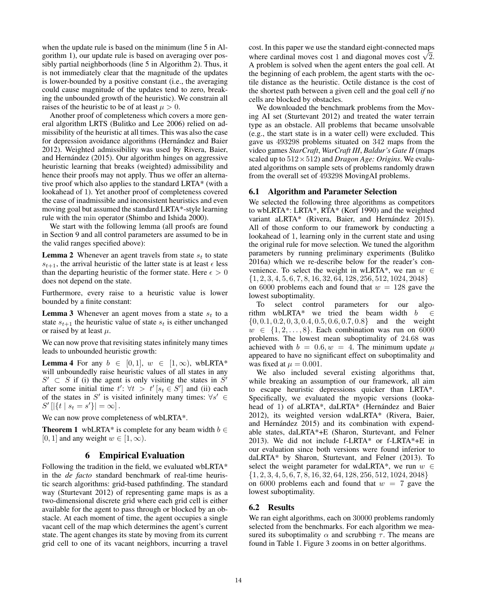when the update rule is based on the minimum (line 5 in Algorithm 1), our update rule is based on averaging over possibly partial neighborhoods (line 5 in Algorithm 2). Thus, it is not immediately clear that the magnitude of the updates is lower-bounded by a positive constant (i.e., the averaging could cause magnitude of the updates tend to zero, breaking the unbounded growth of the heuristic). We constrain all raises of the heuristic to be of at least  $\mu > 0$ .

Another proof of completeness which covers a more general algorithm LRTS (Bulitko and Lee 2006) relied on admissibility of the heuristic at all times. This was also the case for depression avoidance algorithms (Hernández and Baier 2012). Weighted admissibility was used by Rivera, Baier, and Hernández (2015). Our algorithm hinges on aggressive heuristic learning that breaks (weighted) admissibility and hence their proofs may not apply. Thus we offer an alternative proof which also applies to the standard LRTA\* (with a lookahead of 1). Yet another proof of completeness covered the case of inadmissible and inconsistent heuristics and even moving goal but assumed the standard LRTA\*-style learning rule with the min operator (Shimbo and Ishida 2000).

We start with the following lemma (all proofs are found in Section 9 and all control parameters are assumed to be in the valid ranges specified above):

**Lemma 2** Whenever an agent travels from state  $s_t$  to state  $s_{t+1}$ , the arrival heuristic of the latter state is at least  $\epsilon$  less than the departing heuristic of the former state. Here  $\epsilon > 0$ does not depend on the state.

Furthermore, every raise to a heuristic value is lower bounded by a finite constant:

**Lemma 3** Whenever an agent moves from a state  $s_t$  to a state  $s_{t+1}$  the heuristic value of state  $s_t$  is either unchanged or raised by at least  $\mu$ .

We can now prove that revisiting states infinitely many times leads to unbounded heuristic growth:

**Lemma 4** For any  $b \in [0, 1], w \in [1, \infty)$ , wbLRTA\* will unboundedly raise heuristic values of all states in any  $S' \subset S$  if (i) the agent is only visiting the states in  $S'$ after some initial time  $t' : \forall t > t' \left[ s_t \in S' \right]$  and (ii) each of the states in  $S'$  is visited infinitely many times:  $\forall c' \in S'$ of the states in S' is visited infinitely many times:  $\forall s' \in$  $S' [|\{t \mid s_t = s'\}| = \infty].$ 

We can now prove completeness of wbLRTA\*.

**Theorem 1** wbLRTA\* is complete for any beam width  $b \in \mathbb{R}$ [0, 1] and any weight  $w \in [1, \infty)$ .

## 6 Empirical Evaluation

Following the tradition in the field, we evaluated wbLRTA\* in the *de facto* standard benchmark of real-time heuristic search algorithms: grid-based pathfinding. The standard way (Sturtevant 2012) of representing game maps is as a two-dimensional discrete grid where each grid cell is either available for the agent to pass through or blocked by an obstacle. At each moment of time, the agent occupies a single vacant cell of the map which determines the agent's current state. The agent changes its state by moving from its current grid cell to one of its vacant neighbors, incurring a travel

cost. In this paper we use the standard eight-connected maps where cardinal moves cost 1 and diagonal moves cost  $\sqrt{2}$ . A problem is solved when the agent enters the goal cell. At the beginning of each problem, the agent starts with the octile distance as the heuristic. Octile distance is the cost of the shortest path between a given cell and the goal cell *if* no cells are blocked by obstacles.

We downloaded the benchmark problems from the Moving AI set (Sturtevant 2012) and treated the water terrain type as an obstacle. All problems that became unsolvable (e.g., the start state is in a water cell) were excluded. This gave us 493298 problems situated on 342 maps from the video games *StarCraft*, *WarCraft III*, *Baldur's Gate II* (maps scaled up to 512×512) and *Dragon Age: Origins*. We evaluated algorithms on sample sets of problems randomly drawn from the overall set of 493298 MovingAI problems.

#### 6.1 Algorithm and Parameter Selection

We selected the following three algorithms as competitors to wbLRTA\*: LRTA\*, RTA\* (Korf 1990) and the weighted variant aLRTA\* (Rivera, Baier, and Hernández 2015). All of those conform to our framework by conducting a lookahead of 1, learning only in the current state and using the original rule for move selection. We tuned the algorithm parameters by running preliminary experiments (Bulitko 2016a) which we re-describe below for the reader's convenience. To select the weight in wLRTA\*, we ran  $w \in$ {1, 2, 3, 4, 5, 6, 7, 8, 16, 32, 64, 128, 256, 512, 1024, 2048} on 6000 problems each and found that  $w = 128$  gave the lowest suboptimality.

To select control parameters for our algorithm wbLRTA\* we tried the beam width  $b \in$  $\{0, 0.1, 0.2, 0, 3, 0.4, 0.5, 0.6, 0.7, 0.8\}$  and the weight  $w \in \{1, 2, \ldots, 8\}$ . Each combination was run on 6000 problems. The lowest mean suboptimality of 24.68 was achieved with  $b = 0.6, w = 4$ . The minimum update  $\mu$ appeared to have no significant effect on suboptimality and was fixed at  $\mu = 0.001$ .

We also included several existing algorithms that, while breaking an assumption of our framework, all aim to escape heuristic depressions quicker than LRTA\*. Specifically, we evaluated the myopic versions (lookahead of 1) of aLRTA\*, daLRTA\* (Hernández and Baier 2012), its weighted version wdaLRTA\* (Rivera, Baier, and Hernández 2015) and its combination with expendable states, daLRTA\*+E (Sharon, Sturtevant, and Felner 2013). We did not include f-LRTA\* or f-LRTA\*+E in our evaluation since both versions were found inferior to daLRTA\* by Sharon, Sturtevant, and Felner (2013). To select the weight parameter for wdaLRTA\*, we run  $w \in$  $\{1, 2, 3, 4, 5, 6, 7, 8, 16, 32, 64, 128, 256, 512, 1024, 2048\}$ on 6000 problems each and found that  $w = 7$  gave the lowest suboptimality.

### 6.2 Results

We ran eight algorithms, each on 30000 problems randomly selected from the benchmarks. For each algorithm we measured its suboptimality  $\alpha$  and scrubbing  $\tau$ . The means are found in Table 1. Figure 3 zooms in on better algorithms.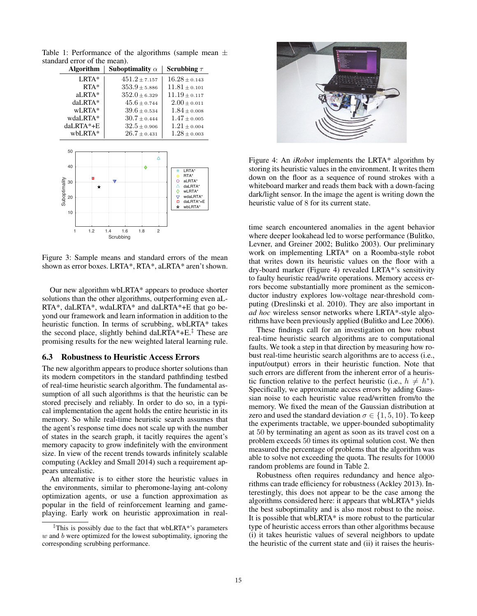Table 1: Performance of the algorithms (sample mean  $\pm$ standard error of the mean).

| <b>Algorithm</b>        | Suboptimality $\alpha$    | Scrubbing $\tau$                                           |
|-------------------------|---------------------------|------------------------------------------------------------|
| $LRTA*$                 | $451.2 + 7.157$           | $16.28 \pm 0.143$                                          |
| $RTA*$                  | $353.9 + 5.886$           | $11.81 + 0.101$                                            |
| $aLRTA*$                | $352.0 + 6.329$           | $11.19 + 0.117$                                            |
| daLRTA*                 | $45.6 \pm 0.744$          | $2.00 \pm 0.011$                                           |
| $WLRTA*$                | $39.6 \pm 0.534$          | $1.84 \pm 0.008$                                           |
| wdaLRTA*                | $30.7 \pm 0.444$          | $1.47 + 0.005$                                             |
| $daLRTA*+E$             | $32.5 \pm 0.906$          | $1.21 \pm 0.004$                                           |
| $whLRTA*$               | $26.7 \pm 0.431$          | $1.28 \pm 0.003$                                           |
| 50<br>40                | ô                         |                                                            |
| m<br>ounally<br>30<br>╈ | $\boldsymbol{\mathrm{w}}$ | Ж<br>LRTA*<br>RTA*<br>Ϋ́Σ<br>al RTA*<br>dal RTA*<br>wLRTA* |

Suboptimality wLRTA\* wdaLRTA\* daLRTA\*+E Subop 20  $_\Box^\nabla$ wbLRTA\* 10 1 1.2 1.4 1.6 1.8 2 **Scrubbing** 

Figure 3: Sample means and standard errors of the mean shown as error boxes. LRTA\*, RTA\*, aLRTA\* aren't shown.

Our new algorithm wbLRTA\* appears to produce shorter solutions than the other algorithms, outperforming even aL-RTA\*, daLRTA\*, wdaLRTA\* and daLRTA\*+E that go beyond our framework and learn information in addition to the heuristic function. In terms of scrubbing, wbLRTA\* takes the second place, slightly behind daLRTA $*$ +E.<sup> $‡$ </sup> These are promising results for the new weighted lateral learning rule.

#### 6.3 Robustness to Heuristic Access Errors

The new algorithm appears to produce shorter solutions than its modern competitors in the standard pathfinding testbed of real-time heuristic search algorithm. The fundamental assumption of all such algorithms is that the heuristic can be stored precisely and reliably. In order to do so, in a typical implementation the agent holds the entire heuristic in its memory. So while real-time heuristic search assumes that the agent's response time does not scale up with the number of states in the search graph, it tacitly requires the agent's memory capacity to grow indefinitely with the environment size. In view of the recent trends towards infinitely scalable computing (Ackley and Small 2014) such a requirement appears unrealistic.

An alternative is to either store the heuristic values in the environments, similar to pheromone-laying ant-colony optimization agents, or use a function approximation as popular in the field of reinforcement learning and gameplaying. Early work on heuristic approximation in real-



Figure 4: An *iRobot* implements the LRTA\* algorithm by storing its heuristic values in the environment. It writes them down on the floor as a sequence of round strokes with a whiteboard marker and reads them back with a down-facing dark/light sensor. In the image the agent is writing down the heuristic value of 8 for its current state.

time search encountered anomalies in the agent behavior where deeper lookahead led to worse performance (Bulitko, Levner, and Greiner 2002; Bulitko 2003). Our preliminary work on implementing LRTA\* on a Roomba-style robot that writes down its heuristic values on the floor with a dry-board marker (Figure 4) revealed LRTA\*'s sensitivity to faulty heuristic read/write operations. Memory access errors become substantially more prominent as the semiconductor industry explores low-voltage near-threshold computing (Dreslinski et al. 2010). They are also important in *ad hoc* wireless sensor networks where LRTA\*-style algorithms have been previously applied (Bulitko and Lee 2006).

These findings call for an investigation on how robust real-time heuristic search algorithms are to computational faults. We took a step in that direction by measuring how robust real-time heuristic search algorithms are to access (i.e., input/output) errors in their heuristic function. Note that such errors are different from the inherent error of a heuristic function relative to the perfect heuristic (i.e.,  $h \neq h^*$ ). Specifically, we approximate access errors by adding Gaussian noise to each heuristic value read/written from/to the memory. We fixed the mean of the Gaussian distribution at zero and used the standard deviation  $\sigma \in \{1, 5, 10\}$ . To keep the experiments tractable, we upper-bounded suboptimality at 50 by terminating an agent as soon as its travel cost on a problem exceeds 50 times its optimal solution cost. We then measured the percentage of problems that the algorithm was able to solve not exceeding the quota. The results for 10000 random problems are found in Table 2.

Robustness often requires redundancy and hence algorithms can trade efficiency for robustness (Ackley 2013). Interestingly, this does not appear to be the case among the algorithms considered here: it appears that wbLRTA\* yields the best suboptimality and is also most robust to the noise. It is possible that wbLRTA\* is more robust to the particular type of heuristic access errors than other algorithms because (i) it takes heuristic values of several neighbors to update the heuristic of the current state and (ii) it raises the heuris-

<sup>‡</sup>This is possibly due to the fact that wbLRTA\*'s parameters  $w$  and  $b$  were optimized for the lowest suboptimality, ignoring the corresponding scrubbing performance.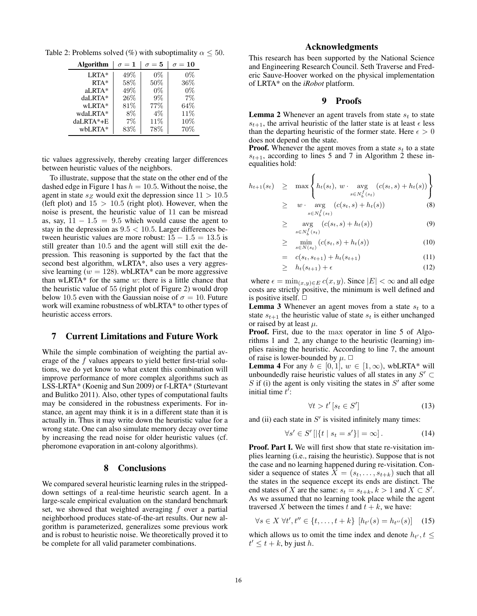Table 2: Problems solved (%) with suboptimality  $\alpha \leq 50$ .

| Algorithm   | $\sigma = {\bf 1}$ | $\sigma = 5$ | $\sigma=10$ |
|-------------|--------------------|--------------|-------------|
| $LRTA*$     | 49%                | $0\%$        | $0\%$       |
| $RTA*$      | 58%                | 50%          | $36\%$      |
| aLRTA*      | 49%                | $0\%$        | $0\%$       |
| daLRTA*     | 26%                | 9%           | 7%          |
| wLRTA*      | 81%                | 77%          | 64\%        |
| wdaLRTA*    | $8\%$              | $4\%$        | 11\%        |
| $daLRTA*+E$ | 7%                 | 11\%         | 10%         |
| wbLRTA*     | 83%                | 78%          | 70%         |
|             |                    |              |             |

tic values aggressively, thereby creating larger differences between heuristic values of the neighbors.

To illustrate, suppose that the state on the other end of the dashed edge in Figure 1 has  $h = 10.5$ . Without the noise, the agent in state  $s_Z$  would exit the depression since  $11 > 10.5$ (left plot) and  $15 > 10.5$  (right plot). However, when the noise is present, the heuristic value of 11 can be misread as, say,  $11 - 1.5 = 9.5$  which would cause the agent to stay in the depression as  $9.5 < 10.5$ . Larger differences between heuristic values are more robust:  $15 - 1.5 = 13.5$  is still greater than 10.5 and the agent will still exit the depression. This reasoning is supported by the fact that the second best algorithm, wLRTA\*, also uses a very aggressive learning ( $w = 128$ ). wbLRTA\* can be more aggressive than wLRTA\* for the same  $w$ : there is a little chance that the heuristic value of 55 (right plot of Figure 2) would drop below 10.5 even with the Gaussian noise of  $\sigma = 10$ . Future work will examine robustness of wbLRTA\* to other types of heuristic access errors.

#### 7 Current Limitations and Future Work

While the simple combination of weighting the partial average of the f values appears to yield better first-trial solutions, we do yet know to what extent this combination will improve performance of more complex algorithms such as LSS-LRTA\* (Koenig and Sun 2009) or f-LRTA\* (Sturtevant and Bulitko 2011). Also, other types of computational faults may be considered in the robustness experiments. For instance, an agent may think it is in a different state than it is actually in. Thus it may write down the heuristic value for a wrong state. One can also simulate memory decay over time by increasing the read noise for older heuristic values (cf. pheromone evaporation in ant-colony algorithms).

## 8 Conclusions

We compared several heuristic learning rules in the strippeddown settings of a real-time heuristic search agent. In a large-scale empirical evaluation on the standard benchmark set, we showed that weighted averaging  $f$  over a partial neighborhood produces state-of-the-art results. Our new algorithm is parameterized, generalizes some previous work and is robust to heuristic noise. We theoretically proved it to be complete for all valid parameter combinations.

# Acknowledgments

This research has been supported by the National Science and Engineering Research Council. Seth Traverse and Frederic Sauve-Hoover worked on the physical implementation of LRTA\* on the *iRobot* platform.

#### 9 Proofs

**Lemma 2** Whenever an agent travels from state  $s_t$  to state  $s_{t+1}$ , the arrival heuristic of the latter state is at least  $\epsilon$  less than the departing heuristic of the former state. Here  $\epsilon > 0$ does not depend on the state.

**Proof.** Whenever the agent moves from a state  $s_t$  to a state  $s_{t+1}$ , according to lines 5 and 7 in Algorithm 2 these inequalities hold:

$$
h_{t+1}(s_t) \geq \max \left\{ h_t(s_t), w \cdot \underset{s \in N_b^f(s_t)}{\text{avg}} (c(s_t, s) + h_t(s)) \right\}
$$

$$
\geq w \cdot \underset{s \in N_b^f(s_t)}{\text{avg}} (c(s_t, s) + h_t(s)) \tag{8}
$$

$$
\geq \quad \underset{s \in N_b^f(s_t)}{\text{avg}} \left( c(s_t, s) + h_t(s) \right) \tag{9}
$$

$$
\geq \min_{s \in N(s_t)} \left( c(s_t, s) + h_t(s) \right) \tag{10}
$$

$$
= c(s_t, s_{t+1}) + h_t(s_{t+1}) \tag{11}
$$

$$
\geq h_t(s_{t+1}) + \epsilon \tag{12}
$$

where  $\epsilon = \min_{(x,y)\in E} c(x, y)$ . Since  $|E| < \infty$  and all edge costs are strictly positive, the minimum is well defined and is positive itself.  $\Box$ 

**Lemma 3** Whenever an agent moves from a state  $s_t$  to a state  $s_{t+1}$  the heuristic value of state  $s_t$  is either unchanged or raised by at least  $\mu$ .

Proof. First, due to the max operator in line 5 of Algorithms 1 and 2, any change to the heuristic (learning) implies raising the heuristic. According to line 7, the amount of raise is lower-bounded by  $\mu$ .  $\Box$ 

**Lemma 4** For any  $b \in [0, 1], w \in [1, \infty)$ , wbLRTA\* will unboundedly raise heuristic values of all states in any  $S' \subset$ S if (i) the agent is only visiting the states in  $S'$  after some initial time  $t'$ :

$$
\forall t > t' \left[ s_t \in S' \right] \tag{13}
$$

and (ii) each state in  $S'$  is visited infinitely many times:

$$
\forall s' \in S' \left[ |\{t \mid s_t = s'\}| = \infty \right]. \tag{14}
$$

Proof. Part I. We will first show that state re-visitation implies learning (i.e., raising the heuristic). Suppose that is not the case and no learning happened during re-visitation. Consider a sequence of states  $X = (s_t, \ldots, s_{t+k})$  such that all the states in the sequence except its ends are distinct. The end states of X are the same:  $s_t = s_{t+k}, k > 1$  and  $X \subset S'$ . As we assumed that no learning took place while the agent traversed X between the times t and  $t + k$ , we have:

$$
\forall s \in X \; \forall t', t'' \in \{t, \dots, t + k\} \; [h_{t'}(s) = h_{t''}(s)] \quad (15)
$$

which allows us to omit the time index and denote  $h_{t}$ ,  $t \leq$  $t' \leq t + k$ , by just h.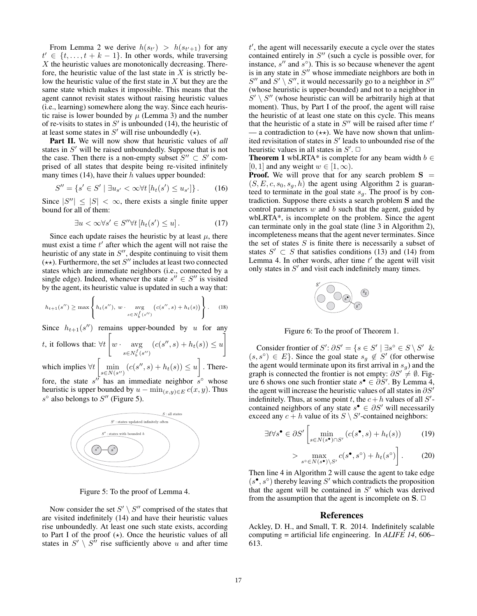From Lemma 2 we derive  $h(s_{t'}) > h(s_{t'+1})$  for any  $t' \in \{t, \ldots, t + k - 1\}$ . In other words, while traversing  $X$  the heuristic values are monotonically decreasing. Therefore, the heuristic value of the last state in  $X$  is strictly below the heuristic value of the first state in  $X$  but they are the same state which makes it impossible. This means that the agent cannot revisit states without raising heuristic values (i.e., learning) somewhere along the way. Since each heuristic raise is lower bounded by  $\mu$  (Lemma 3) and the number of re-visits to states in  $S'$  is unbounded (14), the heuristic of at least some states in  $S'$  will rise unboundedly  $(\star)$ .

Part II. We will now show that heuristic values of *all* states in  $S'$  will be raised unboundedly. Suppose that is not the case. Then there is a non-empty subset  $S'' \subset S'$  comprised of all states that despite being re-visited infinitely many times (14), have their  $\bar{h}$  values upper bounded:

$$
S'' = \{ s' \in S' \mid \exists u_{s'} < \infty \forall t \, [h_t(s') \le u_{s'}] \}.
$$
 (16)

Since  $|S''| \leq |S| < \infty$ , there exists a single finite upper bound for all of them:

$$
\exists u < \infty \forall s' \in S'' \forall t \left[ h_t(s') \le u \right]. \tag{17}
$$

Since each update raises the heuristic by at least  $\mu$ , there must exist a time  $t'$  after which the agent will not raise the heuristic of any state in  $S''$ , despite continuing to visit them  $(\star \star)$ . Furthermore, the set S'' includes at least two connected states which are immediate neighbors (i.e., connected by a single edge). Indeed, whenever the state  $s'' \in S''$  is visited by the agent, its heuristic value is updated in such a way that:

$$
h_{t+1}(s'') \ge \max\left\{h_t(s''), w \cdot \underset{s \in N_b^f(s'')}{\text{avg}} (c(s'', s) + h_t(s))\right\}.
$$
 (18)

Since  $h_{t+1}(s'')$  remains upper-bounded by u for any

*t*, it follows that: 
$$
\forall t \left[ w \cdot \underset{s \in N_b^f(s'')}{\text{avg}} (c(s'', s) + h_t(s)) \leq u \right]
$$

which implies  $\forall t \begin{bmatrix} \min \\ \min \\ s \in N(s) \end{bmatrix}$  $\min_{s \in N(s^{\prime\prime})} (c(s^{\prime\prime}, s) + h_t(s)) \le u$ . There-

fore, the state  $s''$  has an immediate neighbor  $\overline{s}^\circ$  whose heuristic is upper bounded by  $u - \min_{(x,y)\in E} c(x, y)$ . Thus s<sup>°</sup> also belongs to  $S''$  (Figure 5).



Figure 5: To the proof of Lemma 4.

Now consider the set  $S' \setminus S''$  comprised of the states that are visited indefinitely (14) and have their heuristic values rise unboundedly. At least one such state exists, according to Part I of the proof  $(\star)$ . Once the heuristic values of all states in  $S' \setminus S''$  rise sufficiently above u and after time

t , the agent will necessarily execute a cycle over the states contained entirely in  $S''$  (such a cycle is possible over, for instance,  $s''$  and  $s°$ ). This is so because whenever the agent is in any state in  $S''$  whose immediate neighbors are both in  $S''$  and  $S' \setminus S''$ , it would necessarily go to a neighbor in  $S''$ (whose heuristic is upper-bounded) and not to a neighbor in  $S' \setminus S''$  (whose heuristic can will be arbitrarily high at that moment). Thus, by Part I of the proof, the agent will raise the heuristic of at least one state on this cycle. This means that the heuristic of a state in  $S''$  will be raised after time  $t'$ — a contradiction to  $(\star \star)$ . We have now shown that unlimited revisitation of states in  $S'$  leads to unbounded rise of the heuristic values in all states in  $S'$ .  $\Box$ 

**Theorem 1** wbLRTA\* is complete for any beam width  $b \in \mathbb{R}$ [0, 1] and any weight  $w \in [1, \infty)$ .

**Proof.** We will prove that for any search problem  $S =$  $(S, E, c, s_0, s_g, h)$  the agent using Algorithm 2 is guaranteed to terminate in the goal state  $s_q$ . The proof is by contradiction. Suppose there exists a search problem **S** and the control parameters  $w$  and  $b$  such that the agent, guided by wbLRTA\*, is incomplete on the problem. Since the agent can terminate only in the goal state (line 3 in Algorithm 2), incompleteness means that the agent never terminates. Since the set of states  $S$  is finite there is necessarily a subset of states  $S' \subset S$  that satisfies conditions (13) and (14) from Lemma 4. In other words, after time  $t'$  the agent will visit only states in  $S'$  and visit each indefinitely many times.



Figure 6: To the proof of Theorem 1.

Consider frontier of  $S'$ :  $\partial S' = \{s \in S' \mid \exists s \circ \in S \setminus S' \&$  $(s, s^{\circ}) \in E$ . Since the goal state  $s_g \notin S'$  (for otherwise the agent would terminate upon its first arrival in  $s_q$ ) and the graph is connected the frontier is not empty:  $\partial S' \neq \emptyset$ . Figure 6 shows one such frontier state  $s^{\bullet} \in \partial S'$ . By Lemma 4, the agent will increase the heuristic values of all states in  $\partial S'$ indefinitely. Thus, at some point t, the  $c + h$  values of all  $S'$ contained neighbors of any state  $s^{\bullet} \in \partial S'$  will necessarily exceed any  $c + h$  value of its  $S \setminus S'$ -contained neighbors:

$$
\exists t \forall s^{\bullet} \in \partial S' \left[ \min_{s \in N(s^{\bullet}) \cap S'} \left( c(s^{\bullet}, s) + h_t(s) \right) \right] \tag{19}
$$

$$
> \max_{s^\circ \in N(s^\bullet) \setminus S'} c(s^\bullet, s^\circ) + h_t(s^\circ) \bigg]. \tag{20}
$$

Then line 4 in Algorithm 2 will cause the agent to take edge  $(s^{\bullet}, s^{\circ})$  thereby leaving S' which contradicts the proposition that the agent will be contained in  $S'$  which was derived from the assumption that the agent is incomplete on  $S$ .  $\Box$ 

## References

Ackley, D. H., and Small, T. R. 2014. Indefinitely scalable computing = artificial life engineering. In *ALIFE 14*, 606– 613.